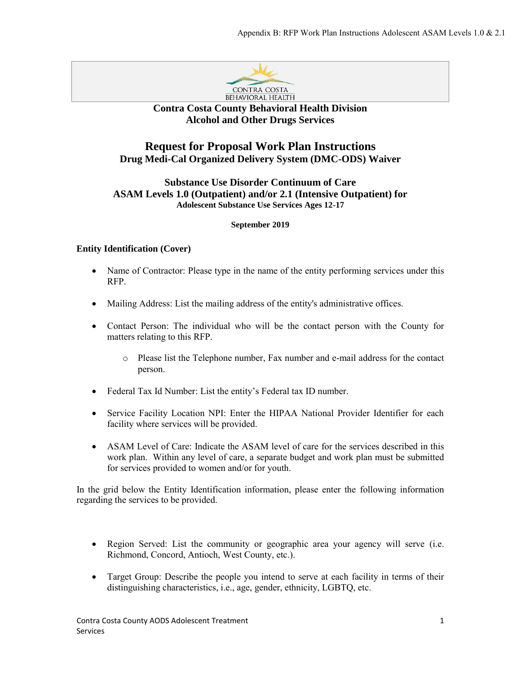

## **Contra Costa County Behavioral Health Division Alcohol and Other Drugs Services**

# **Request for Proposal Work Plan Instructions Drug Medi-Cal Organized Delivery System (DMC-ODS) Waiver**

## **Substance Use Disorder Continuum of Care ASAM Levels 1.0 (Outpatient) and/or 2.1 (Intensive Outpatient) for Adolescent Substance Use Services Ages 12-17**

### **September 2019**

## **Entity Identification (Cover)**

- Name of Contractor: Please type in the name of the entity performing services under this RFP.
- Mailing Address: List the mailing address of the entity's administrative offices.
- Contact Person: The individual who will be the contact person with the County for matters relating to this RFP.
	- o Please list the Telephone number, Fax number and e-mail address for the contact person.
- Federal Tax Id Number: List the entity's Federal tax ID number.
- Service Facility Location NPI: Enter the HIPAA National Provider Identifier for each facility where services will be provided.
- ASAM Level of Care: Indicate the ASAM level of care for the services described in this work plan. Within any level of care, a separate budget and work plan must be submitted for services provided to women and/or for youth.

In the grid below the Entity Identification information, please enter the following information regarding the services to be provided.

- Region Served: List the community or geographic area your agency will serve (i.e. Richmond, Concord, Antioch, West County, etc.).
- Target Group: Describe the people you intend to serve at each facility in terms of their distinguishing characteristics, i.e., age, gender, ethnicity, LGBTQ, etc.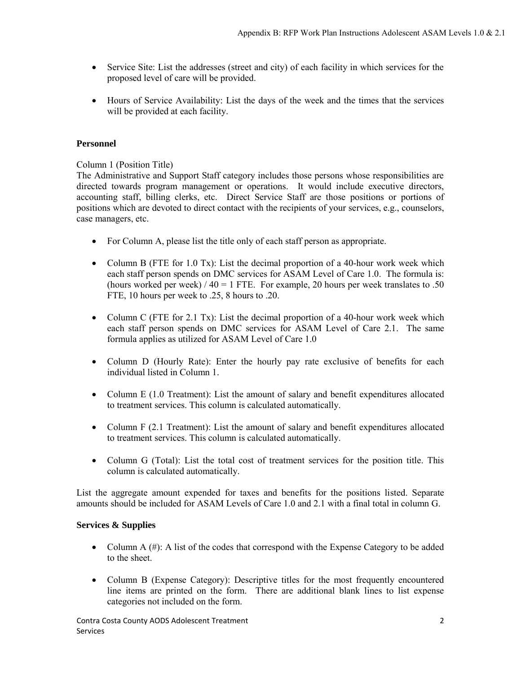- Service Site: List the addresses (street and city) of each facility in which services for the proposed level of care will be provided.
- Hours of Service Availability: List the days of the week and the times that the services will be provided at each facility.

## **Personnel**

Column 1 (Position Title)

The Administrative and Support Staff category includes those persons whose responsibilities are directed towards program management or operations. It would include executive directors, accounting staff, billing clerks, etc. Direct Service Staff are those positions or portions of positions which are devoted to direct contact with the recipients of your services, e.g., counselors, case managers, etc.

- For Column A, please list the title only of each staff person as appropriate.
- Column B (FTE for 1.0 Tx): List the decimal proportion of a 40-hour work week which each staff person spends on DMC services for ASAM Level of Care 1.0. The formula is: (hours worked per week)  $/ 40 = 1$  FTE. For example, 20 hours per week translates to .50 FTE, 10 hours per week to .25, 8 hours to .20.
- Column C (FTE for 2.1 Tx): List the decimal proportion of a 40-hour work week which each staff person spends on DMC services for ASAM Level of Care 2.1. The same formula applies as utilized for ASAM Level of Care 1.0
- Column D (Hourly Rate): Enter the hourly pay rate exclusive of benefits for each individual listed in Column 1.
- Column E (1.0 Treatment): List the amount of salary and benefit expenditures allocated to treatment services. This column is calculated automatically.
- Column F (2.1 Treatment): List the amount of salary and benefit expenditures allocated to treatment services. This column is calculated automatically.
- Column G (Total): List the total cost of treatment services for the position title. This column is calculated automatically.

List the aggregate amount expended for taxes and benefits for the positions listed. Separate amounts should be included for ASAM Levels of Care 1.0 and 2.1 with a final total in column G.

#### **Services & Supplies**

- Column A (#): A list of the codes that correspond with the Expense Category to be added to the sheet.
- Column B (Expense Category): Descriptive titles for the most frequently encountered line items are printed on the form. There are additional blank lines to list expense categories not included on the form.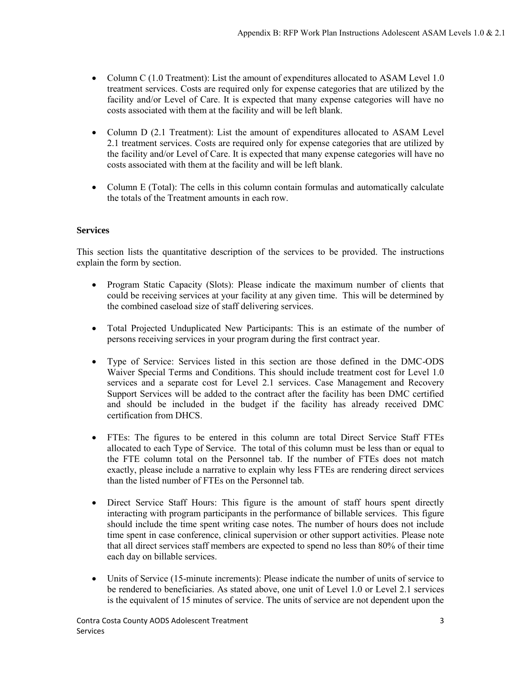- Column C (1.0 Treatment): List the amount of expenditures allocated to ASAM Level 1.0 treatment services. Costs are required only for expense categories that are utilized by the facility and/or Level of Care. It is expected that many expense categories will have no costs associated with them at the facility and will be left blank.
- Column D (2.1 Treatment): List the amount of expenditures allocated to ASAM Level 2.1 treatment services. Costs are required only for expense categories that are utilized by the facility and/or Level of Care. It is expected that many expense categories will have no costs associated with them at the facility and will be left blank.
- Column E (Total): The cells in this column contain formulas and automatically calculate the totals of the Treatment amounts in each row.

## **Services**

This section lists the quantitative description of the services to be provided. The instructions explain the form by section.

- Program Static Capacity (Slots): Please indicate the maximum number of clients that could be receiving services at your facility at any given time. This will be determined by the combined caseload size of staff delivering services.
- Total Projected Unduplicated New Participants: This is an estimate of the number of persons receiving services in your program during the first contract year.
- Type of Service: Services listed in this section are those defined in the DMC-ODS Waiver Special Terms and Conditions. This should include treatment cost for Level 1.0 services and a separate cost for Level 2.1 services. Case Management and Recovery Support Services will be added to the contract after the facility has been DMC certified and should be included in the budget if the facility has already received DMC certification from DHCS.
- FTEs: The figures to be entered in this column are total Direct Service Staff FTEs allocated to each Type of Service. The total of this column must be less than or equal to the FTE column total on the Personnel tab. If the number of FTEs does not match exactly, please include a narrative to explain why less FTEs are rendering direct services than the listed number of FTEs on the Personnel tab.
- Direct Service Staff Hours: This figure is the amount of staff hours spent directly interacting with program participants in the performance of billable services. This figure should include the time spent writing case notes. The number of hours does not include time spent in case conference, clinical supervision or other support activities. Please note that all direct services staff members are expected to spend no less than 80% of their time each day on billable services.
- Units of Service (15-minute increments): Please indicate the number of units of service to be rendered to beneficiaries. As stated above, one unit of Level 1.0 or Level 2.1 services is the equivalent of 15 minutes of service. The units of service are not dependent upon the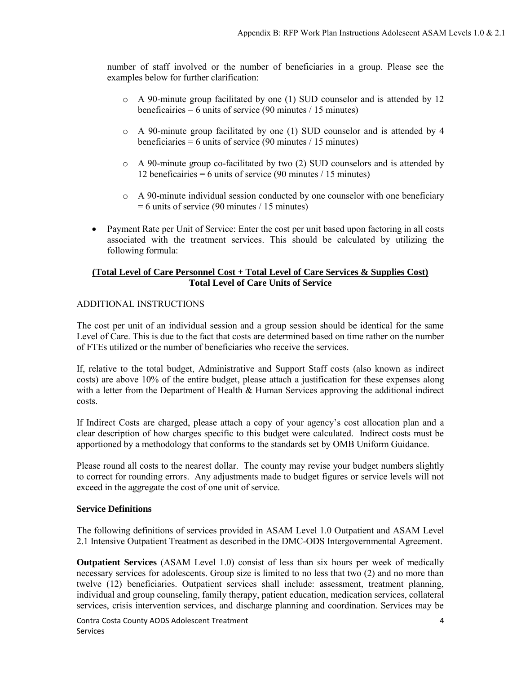number of staff involved or the number of beneficiaries in a group. Please see the examples below for further clarification:

- o A 90-minute group facilitated by one (1) SUD counselor and is attended by 12 beneficairies  $= 6$  units of service (90 minutes / 15 minutes)
- o A 90-minute group facilitated by one (1) SUD counselor and is attended by 4 beneficiaries = 6 units of service  $(90 \text{ minutes} / 15 \text{ minutes})$
- o A 90-minute group co-facilitated by two (2) SUD counselors and is attended by 12 beneficairies =  $6$  units of service (90 minutes / 15 minutes)
- o A 90-minute individual session conducted by one counselor with one beneficiary  $= 6$  units of service (90 minutes / 15 minutes)
- Payment Rate per Unit of Service: Enter the cost per unit based upon factoring in all costs associated with the treatment services. This should be calculated by utilizing the following formula:

## **(Total Level of Care Personnel Cost + Total Level of Care Services & Supplies Cost) Total Level of Care Units of Service**

### ADDITIONAL INSTRUCTIONS

The cost per unit of an individual session and a group session should be identical for the same Level of Care. This is due to the fact that costs are determined based on time rather on the number of FTEs utilized or the number of beneficiaries who receive the services.

If, relative to the total budget, Administrative and Support Staff costs (also known as indirect costs) are above 10% of the entire budget, please attach a justification for these expenses along with a letter from the Department of Health & Human Services approving the additional indirect costs.

If Indirect Costs are charged, please attach a copy of your agency's cost allocation plan and a clear description of how charges specific to this budget were calculated. Indirect costs must be apportioned by a methodology that conforms to the standards set by OMB Uniform Guidance.

Please round all costs to the nearest dollar. The county may revise your budget numbers slightly to correct for rounding errors. Any adjustments made to budget figures or service levels will not exceed in the aggregate the cost of one unit of service.

#### **Service Definitions**

The following definitions of services provided in ASAM Level 1.0 Outpatient and ASAM Level 2.1 Intensive Outpatient Treatment as described in the DMC-ODS Intergovernmental Agreement.

**Outpatient Services** (ASAM Level 1.0) consist of less than six hours per week of medically necessary services for adolescents. Group size is limited to no less that two (2) and no more than twelve (12) beneficiaries. Outpatient services shall include: assessment, treatment planning, individual and group counseling, family therapy, patient education, medication services, collateral services, crisis intervention services, and discharge planning and coordination. Services may be